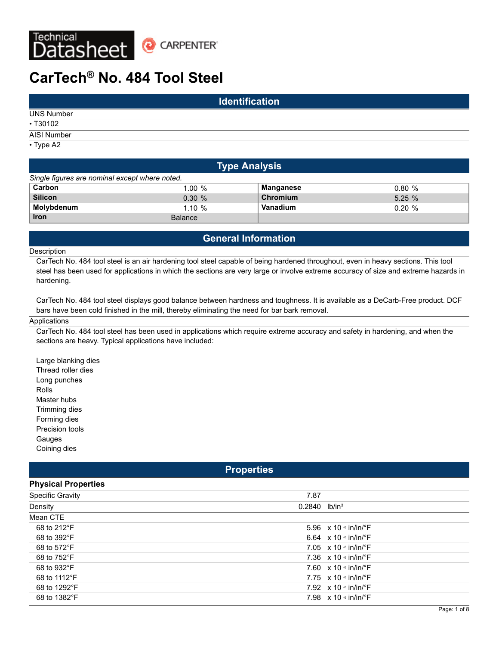

# **CarTech® No. 484 Tool Steel**

|                   | <b>Identification</b> |  |
|-------------------|-----------------------|--|
| <b>UNS Number</b> |                       |  |
| • T30102          |                       |  |
| AISI Number       |                       |  |
| • Type A2         |                       |  |

|                                                | <b>Type Analysis</b> |           |       |  |  |  |  |  |  |  |
|------------------------------------------------|----------------------|-----------|-------|--|--|--|--|--|--|--|
| Single figures are nominal except where noted. |                      |           |       |  |  |  |  |  |  |  |
| Carbon                                         | $1.00 \%$            | Manganese | 0.80% |  |  |  |  |  |  |  |
| <b>Silicon</b>                                 | 0.30%                | Chromium  | 5.25% |  |  |  |  |  |  |  |
| Molybdenum                                     | 1.10%                | Vanadium  | 0.20% |  |  |  |  |  |  |  |
| <b>Iron</b>                                    | Balance              |           |       |  |  |  |  |  |  |  |

# **General Information**

#### Description

CarTech No. 484 tool steel is an air hardening tool steel capable of being hardened throughout, even in heavy sections. This tool steel has been used for applications in which the sections are very large or involve extreme accuracy of size and extreme hazards in hardening.

CarTech No. 484 tool steel displays good balance between hardness and toughness. It is available as a DeCarb-Free product. DCF bars have been cold finished in the mill, thereby eliminating the need for bar bark removal.

#### Applications

CarTech No. 484 tool steel has been used in applications which require extreme accuracy and safety in hardening, and when the sections are heavy. Typical applications have included:

Large blanking dies Thread roller dies Long punches Rolls Master hubs Trimming dies Forming dies Precision tools Gauges Coining dies

## **Properties**

| <b>Physical Properties</b> |                             |                                           |
|----------------------------|-----------------------------|-------------------------------------------|
| <b>Specific Gravity</b>    | 7.87                        |                                           |
| Density                    | $0.2840$ lb/in <sup>3</sup> |                                           |
| Mean CTE                   |                             |                                           |
| 68 to 212°F                |                             | 5.96 $\times$ 10 $\cdot$ in/in/ $\cdot$ F |
| 68 to 392°F                |                             | 6.64 $\times$ 10 $\cdot$ in/in/ $\cdot$ F |
| 68 to 572°F                |                             | 7.05 $\times$ 10 $\cdot$ in/in/ $\cdot$ F |
| 68 to 752°F                |                             | 7.36 $\times$ 10 $\cdot$ in/in/ $\cdot$ F |
| 68 to 932°F                |                             | 7.60 $\times$ 10 $\cdot$ in/in/ $\cdot$ F |
| 68 to 1112°F               |                             | 7.75 $\times$ 10 $\cdot$ in/in/ $\cdot$ F |
| 68 to 1292°F               |                             | 7.92 $\times$ 10 $\cdot$ in/in/ $\cdot$ F |
| 68 to 1382°F               |                             | 7.98 $\times$ 10 $\cdot$ in/in/ $\cdot$ F |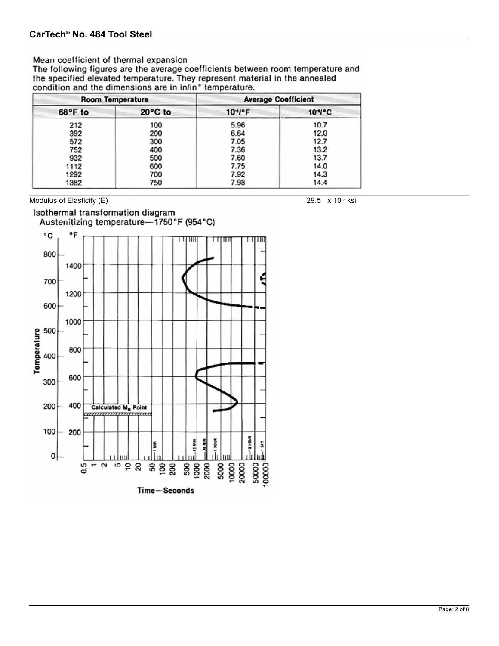## Mean coefficient of thermal expansion

The following figures are the average coefficients between room temperature and the specified elevated temperature. They represent material in the annealed condition and the dimensions are in in/in° temperature.

|         | Room Temperature | <b>Average Coefficient</b> |          |  |  |  |
|---------|------------------|----------------------------|----------|--|--|--|
| 68°F to | 20°C to          | 10*/*F                     | $104$ °C |  |  |  |
| 212     | 100              | 5.96                       | 10.7     |  |  |  |
| 392     | 200              | 6.64                       | 12.0     |  |  |  |
| 572     | 300              | 7.05                       | 12.7     |  |  |  |
| 752     | 400              | 7.36                       | 13.2     |  |  |  |
| 932     | 500              | 7.60                       | 13.7     |  |  |  |
| 1112    | 600              | 7.75                       | 14.0     |  |  |  |
| 1292    | 700              | 7.92                       | 14.3     |  |  |  |
| 1382    | 750              | 7.98                       | 14.4     |  |  |  |

Modulus of Elasticity (E) 29.5 x 10 s ksi

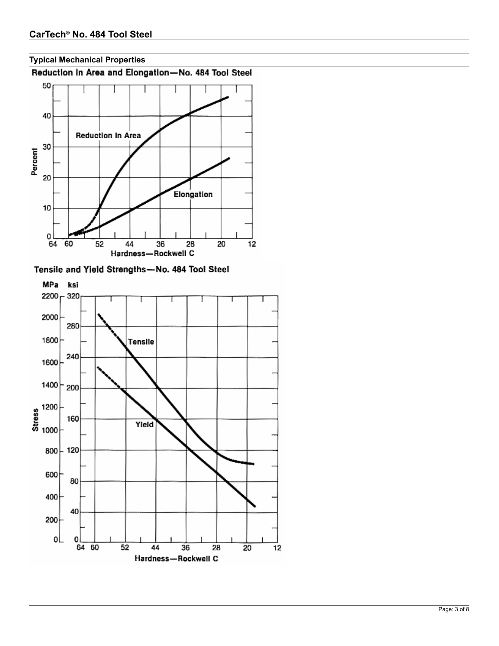

**Typical Mechanical Properties**

Tensile and Yield Strengths-No. 484 Tool Steel

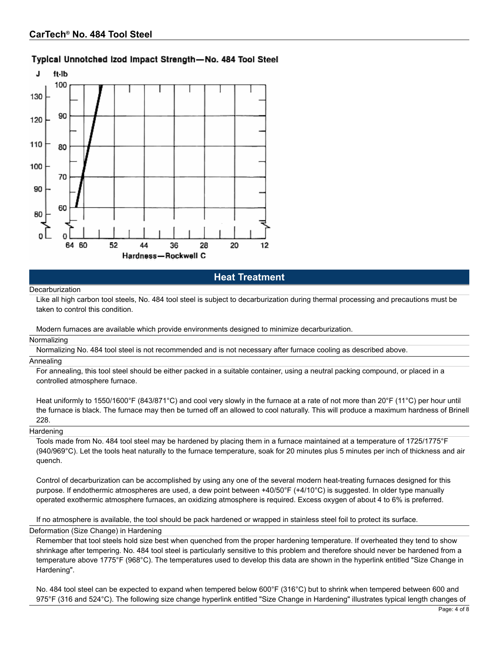# Typical Unnotched Izod Impact Strength-No. 484 Tool Steel



**Heat Treatment**

#### **Decarburization**

Like all high carbon tool steels, No. 484 tool steel is subject to decarburization during thermal processing and precautions must be taken to control this condition.

Modern furnaces are available which provide environments designed to minimize decarburization.

#### Normalizing

Normalizing No. 484 tool steel is not recommended and is not necessary after furnace cooling as described above.

#### Annealing

For annealing, this tool steel should be either packed in a suitable container, using a neutral packing compound, or placed in a controlled atmosphere furnace.

Heat uniformly to 1550/1600°F (843/871°C) and cool very slowly in the furnace at a rate of not more than 20°F (11°C) per hour until the furnace is black. The furnace may then be turned off an allowed to cool naturally. This will produce a maximum hardness of Brinell 228.

#### **Hardening**

Tools made from No. 484 tool steel may be hardened by placing them in a furnace maintained at a temperature of 1725/1775°F (940/969°C). Let the tools heat naturally to the furnace temperature, soak for 20 minutes plus 5 minutes per inch of thickness and air quench.

Control of decarburization can be accomplished by using any one of the several modern heat-treating furnaces designed for this purpose. If endothermic atmospheres are used, a dew point between +40/50°F (+4/10°C) is suggested. In older type manually operated exothermic atmosphere furnaces, an oxidizing atmosphere is required. Excess oxygen of about 4 to 6% is preferred.

If no atmosphere is available, the tool should be pack hardened or wrapped in stainless steel foil to protect its surface.

#### Deformation (Size Change) in Hardening

Remember that tool steels hold size best when quenched from the proper hardening temperature. If overheated they tend to show shrinkage after tempering. No. 484 tool steel is particularly sensitive to this problem and therefore should never be hardened from a temperature above 1775°F (968°C). The temperatures used to develop this data are shown in the hyperlink entitled "Size Change in Hardening".

No. 484 tool steel can be expected to expand when tempered below 600°F (316°C) but to shrink when tempered between 600 and 975°F (316 and 524°C). The following size change hyperlink entitled "Size Change in Hardening" illustrates typical length changes of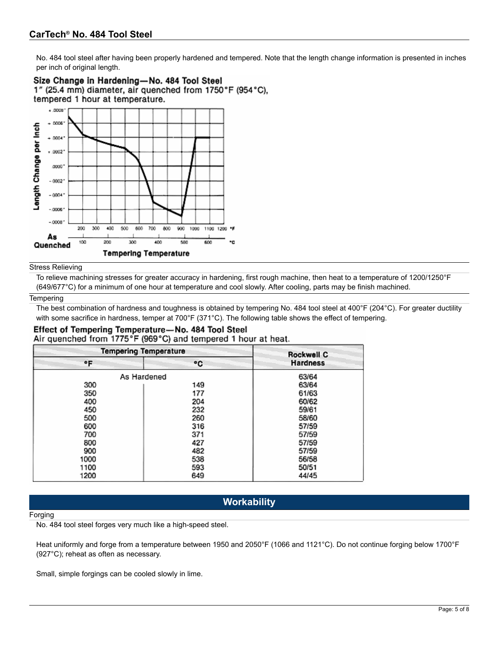No. 484 tool steel after having been properly hardened and tempered. Note that the length change information is presented in inches per inch of original length.



#### Stress Relieving

To relieve machining stresses for greater accuracy in hardening, first rough machine, then heat to a temperature of 1200/1250°F (649/677°C) for a minimum of one hour at temperature and cool slowly. After cooling, parts may be finish machined.

#### **Tempering**

The best combination of hardness and toughness is obtained by tempering No. 484 tool steel at 400°F (204°C). For greater ductility with some sacrifice in hardness, temper at 700°F (371°C). The following table shows the effect of tempering.

#### Effect of Tempering Temperature-No. 484 Tool Steel Air quenched from 1775°F (969°C) and tempered 1 hour at heat.

|      | <b>Tempering Temperature</b> | <b>Rockwell C</b> |
|------|------------------------------|-------------------|
| ۰F   | ۰c                           | <b>Hardness</b>   |
|      | As Hardened                  | 63/64             |
| 300  | 149                          | 63/64             |
| 350  | 177                          | 61/63             |
| 400  | 204                          | 60/62             |
| 450  | 232                          | 59/61             |
| 500  | 260                          | 58/60             |
| 600  | 316                          | 57/59             |
| 700  | 371                          | 57/59             |
| 800  | 427                          | 57/59             |
| 900  | 482                          | 57/59             |
| 1000 | 538                          | 56/58             |
| 1100 | 593                          | 50/51             |
| 1200 | 649                          | 44/45             |

# **Workability**

#### Forging

No. 484 tool steel forges very much like a high-speed steel.

Heat uniformly and forge from a temperature between 1950 and 2050°F (1066 and 1121°C). Do not continue forging below 1700°F (927°C); reheat as often as necessary.

Small, simple forgings can be cooled slowly in lime.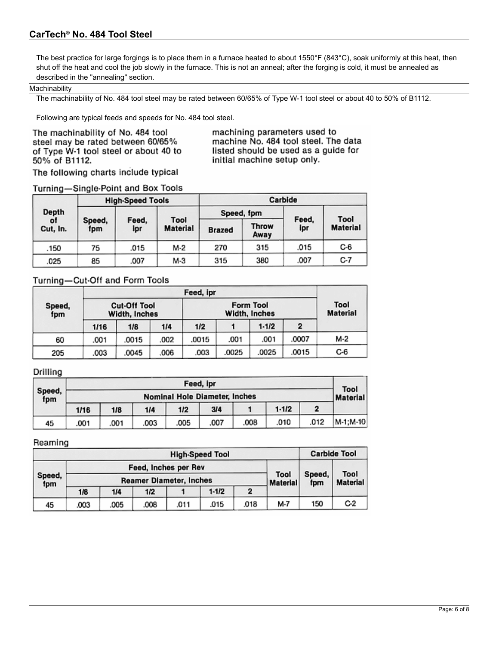# **CarTech® No. 484 Tool Steel**

The best practice for large forgings is to place them in a furnace heated to about 1550°F (843°C), soak uniformly at this heat, then shut off the heat and cool the job slowly in the furnace. This is not an anneal; after the forging is cold, it must be annealed as described in the "annealing" section.

#### **Machinability**

The machinability of No. 484 tool steel may be rated between 60/65% of Type W-1 tool steel or about 40 to 50% of B1112.

Following are typical feeds and speeds for No. 484 tool steel.

The machinability of No. 484 tool steel may be rated between 60/65% of Type W-1 tool steel or about 40 to 50% of B1112.

machining parameters used to machine No. 484 tool steel. The data listed should be used as a guide for initial machine setup only.

The following charts include typical

## Turning-Single-Point and Box Tools

|                         |               | <b>High-Speed Tools</b> |                         | Carbide       |               |              |                         |  |
|-------------------------|---------------|-------------------------|-------------------------|---------------|---------------|--------------|-------------------------|--|
| Depth<br>of<br>Cut, In. |               |                         |                         |               | Speed, fpm    |              |                         |  |
|                         | Speed,<br>fpm | Feed,<br>ipr            | Tool<br><b>Material</b> | <b>Brazed</b> | Throw<br>Away | Feed,<br>ipr | Tool<br><b>Material</b> |  |
| .150                    | 75            | .015                    | M-2                     | 270           | 315           | .015         | $C-6$                   |  |
| .025                    | 85            | .007                    | M-3                     | 315           | 380           | .007         | C-7                     |  |

# Turning-Cut-Off and Form Tools

|               |      | Feed, ipr                            |      |       |                         |       |              |     |  |  |  |
|---------------|------|--------------------------------------|------|-------|-------------------------|-------|--------------|-----|--|--|--|
| Speed,<br>fpm |      | <b>Cut-Off Tool</b><br>Width, Inches |      |       | Tool<br><b>Material</b> |       |              |     |  |  |  |
|               | 1/16 | 1/8                                  | 1/4  | 1/2   |                         | 1.1/2 | $\mathbf{2}$ |     |  |  |  |
| 60            | .001 | .0015                                | .002 | .0015 | .001                    | .001  | .0007        | M-2 |  |  |  |
| 205           | .003 | .0045                                | .006 | .003  | .0025                   | .0025 | 0015         | C-6 |  |  |  |

# Drilling

|               | Feed, ipr                                               |      |      |      |      |      |           |      |              |  |  |  |
|---------------|---------------------------------------------------------|------|------|------|------|------|-----------|------|--------------|--|--|--|
| Speed,<br>fpm | <b>Nominal Hole Diameter, Inches</b><br><b>Material</b> |      |      |      |      |      |           |      |              |  |  |  |
|               | 1/16                                                    | 1/8  | 1/4  | 1/2  | 3/4  |      | $1 - 1/2$ |      |              |  |  |  |
| 45            | .001                                                    | .001 | .003 | .005 | .007 | .008 | .010      | .012 | $ M-1;M-10 $ |  |  |  |

#### Reaming

| <b>High-Speed Tool</b> |      |      |                                |      |                         |               |                         | <b>Carbide Tool</b> |       |
|------------------------|------|------|--------------------------------|------|-------------------------|---------------|-------------------------|---------------------|-------|
| Speed,<br>fpm          |      |      | Feed, Inches per Rev           |      |                         |               |                         |                     |       |
|                        |      |      | <b>Reamer Diameter, Inches</b> |      | Tool<br><b>Material</b> | Speed,<br>fpm | Tool<br><b>Material</b> |                     |       |
|                        | 1/8  | 1/4  | 1/2                            |      | $1-1/2$                 | $\mathbf{2}$  |                         |                     |       |
| 45                     | .003 | .005 | .008                           | .011 | .015                    | .018          | M-7                     | 150                 | $C-2$ |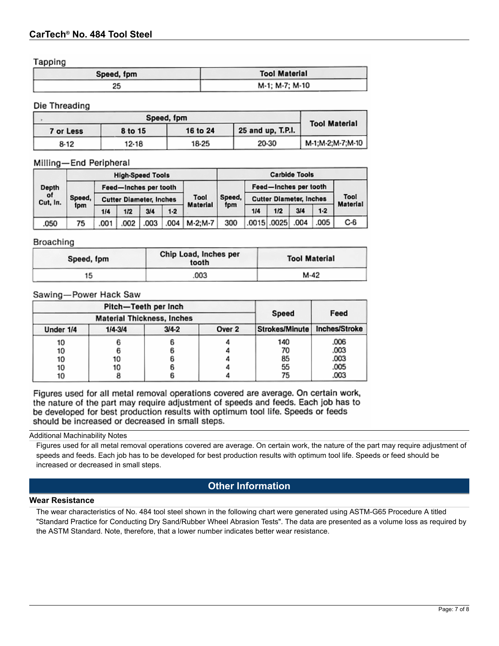Tapping

| . .<br>Speed, fpm | <b>Tool Material</b> |
|-------------------|----------------------|
| 25                | M-1; M-7; M-10       |

## Die Threading

|           | <b>Tool Material</b> |                   |       |                  |
|-----------|----------------------|-------------------|-------|------------------|
| 7 or Less | 8 to 15              | 25 and up, T.P.I. |       |                  |
| 8-12      | 12-18                | 18-25             | 20-30 | M-1;M-2;M-7;M-10 |

## Milling-End Peripheral

|                         |               |      | <b>High-Speed Tools</b>        |      |       |         |                                  |                                |             | <b>Carbide Tools</b> |                         |       |  |
|-------------------------|---------------|------|--------------------------------|------|-------|---------|----------------------------------|--------------------------------|-------------|----------------------|-------------------------|-------|--|
| Depth<br>of<br>Cut, In. |               |      | Feed-Inches per tooth          |      |       |         | Feed-Inches per tooth            |                                |             |                      |                         |       |  |
|                         | Speed,<br>fpm |      | <b>Cutter Diameter, Inches</b> |      |       | Tool    | Speed,<br><b>Material</b><br>fpm | <b>Cutter Diameter, Inches</b> |             |                      | Tool<br><b>Material</b> |       |  |
|                         |               | 1/4  | 1/2                            | 3/4  | $1-2$ |         |                                  |                                | 1/4         | 1/2                  | 3/4                     | $1-2$ |  |
| .050                    | 75            | .001 | .002                           | .003 | .004  | M-2:M-7 | 300                              |                                | .0015 .0025 | .004                 | .005                    | C-6   |  |

## Broaching

| Speed, fpm | Chip Load, Inches per<br>tooth | <b>Tool Material</b> |
|------------|--------------------------------|----------------------|
| 15         | .003                           | M-42                 |

## Sawing-Power Hack Saw

| Pitch-Teeth per Inch              |             |           | Speed  | Feed                  |               |
|-----------------------------------|-------------|-----------|--------|-----------------------|---------------|
| <b>Material Thickness, Inches</b> |             |           |        |                       |               |
| Under 1/4                         | $1/4 - 3/4$ | $3/4 - 2$ | Over 2 | <b>Strokes/Minute</b> | Inches/Stroke |
| 10                                |             |           |        | 140                   | ,006          |
| 10                                |             |           |        | 70                    | .003          |
| 10                                | 10          |           |        | 85                    | .003          |
| 10                                | 10          |           |        | 55                    | .005          |
| 10                                |             |           |        | 75                    | .003          |

Figures used for all metal removal operations covered are average. On certain work, the nature of the part may require adjustment of speeds and feeds. Each job has to be developed for best production results with optimum tool life. Speeds or feeds should be increased or decreased in small steps.

Additional Machinability Notes

Figures used for all metal removal operations covered are average. On certain work, the nature of the part may require adjustment of speeds and feeds. Each job has to be developed for best production results with optimum tool life. Speeds or feed should be increased or decreased in small steps.

# **Other Information**

#### **Wear Resistance**

The wear characteristics of No. 484 tool steel shown in the following chart were generated using ASTM-G65 Procedure A titled "Standard Practice for Conducting Dry Sand/Rubber Wheel Abrasion Tests". The data are presented as a volume loss as required by the ASTM Standard. Note, therefore, that a lower number indicates better wear resistance.